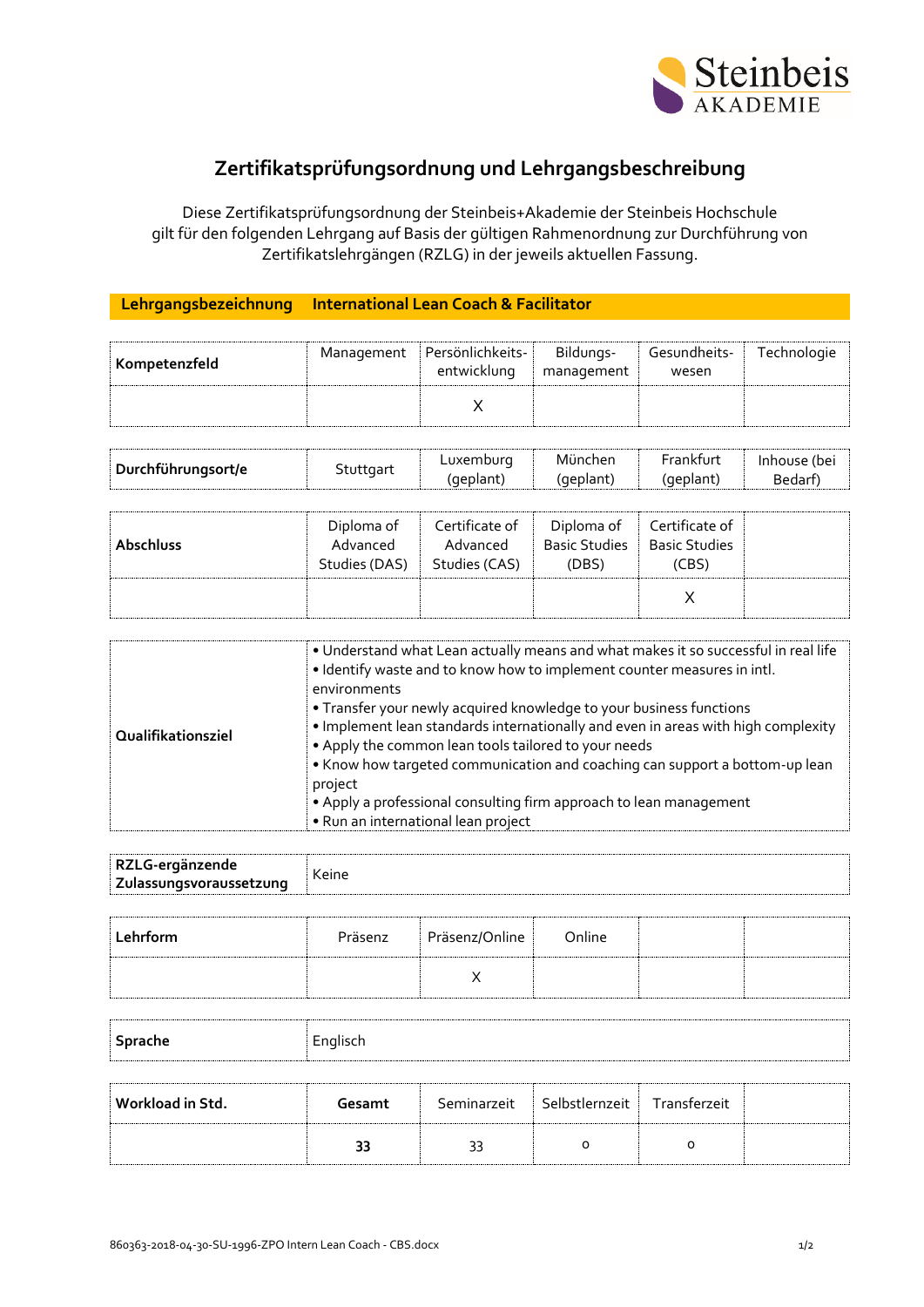

## **Zertifikatsprüfungsordnung und Lehrgangsbeschreibung**

Diese Zertifikatsprüfungsordnung der Steinbeis+Akademie der Steinbeis Hochschule gilt für den folgenden Lehrgang auf Basis der gültigen Rahmenordnung zur Durchführung von Zertifikatslehrgängen (RZLG) in der jeweils aktuellen Fassung.

## **Lehrgangsbezeichnung International Lean Coach & Facilitator**

| Kompetenzfeld | Management Persönlichkeits-<br>entwicklung | Bildungs-<br>management | Gesundheits-<br>wesen | Technologie |
|---------------|--------------------------------------------|-------------------------|-----------------------|-------------|
|               |                                            |                         |                       |             |

| Durchführungsort/e | Stuttgart | Luxembura | Munchen | Frankfurt | Inhouse (be) |
|--------------------|-----------|-----------|---------|-----------|--------------|
|                    |           | deplant   | geplant | (geplant) | Bedar'       |

| <b>Abschluss</b> | Diploma of<br>Advanced<br>Studies (DAS) | Certificate of<br>Advanced<br>Studies (CAS) | Diploma of<br><b>Basic Studies</b><br>(DBS) | Certificate of<br><b>Basic Studies</b><br>(CBS) |  |
|------------------|-----------------------------------------|---------------------------------------------|---------------------------------------------|-------------------------------------------------|--|
|                  |                                         |                                             |                                             |                                                 |  |

| Qualifikationsziel | . Understand what Lean actually means and what makes it so successful in real life<br>. Identify waste and to know how to implement counter measures in intl.<br>environments<br>• Transfer your newly acquired knowledge to your business functions<br>. Implement lean standards internationally and even in areas with high complexity<br>• Apply the common lean tools tailored to your needs<br>• Know how targeted communication and coaching can support a bottom-up lean<br>project |
|--------------------|---------------------------------------------------------------------------------------------------------------------------------------------------------------------------------------------------------------------------------------------------------------------------------------------------------------------------------------------------------------------------------------------------------------------------------------------------------------------------------------------|
|                    | • Apply a professional consulting firm approach to lean management<br>• Run an international lean project                                                                                                                                                                                                                                                                                                                                                                                   |

| RZLG-ergänzende         |       |  |
|-------------------------|-------|--|
| Zulassungsvoraussetzung | Keine |  |

| Lehrform | Präsenz | Präsenz/Online | Online |  |
|----------|---------|----------------|--------|--|
|          |         |                |        |  |

| Sprache          | Englisch |    |                                             |  |  |
|------------------|----------|----|---------------------------------------------|--|--|
| Workload in Std. | Gesamt   |    | Seminarzeit   Selbstlernzeit   Transferzeit |  |  |
|                  | 33       | 33 | o                                           |  |  |